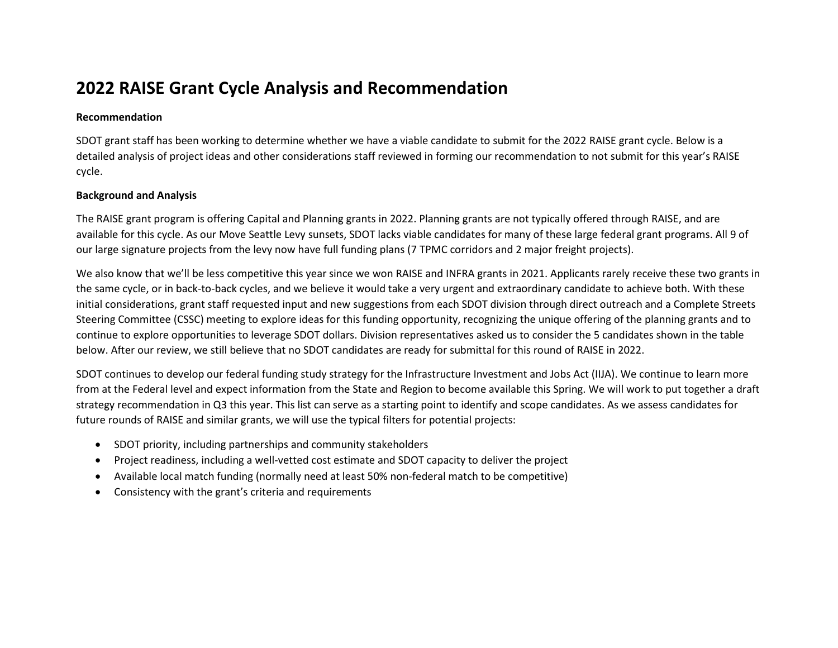## **2022 RAISE Grant Cycle Analysis and Recommendation**

## **Recommendation**

SDOT grant staff has been working to determine whether we have a viable candidate to submit for the 2022 RAISE grant cycle. Below is a detailed analysis of project ideas and other considerations staff reviewed in forming our recommendation to not submit for this year's RAISE cycle.

## **Background and Analysis**

The RAISE grant program is offering Capital and Planning grants in 2022. Planning grants are not typically offered through RAISE, and are available for this cycle. As our Move Seattle Levy sunsets, SDOT lacks viable candidates for many of these large federal grant programs. All 9 of our large signature projects from the levy now have full funding plans (7 TPMC corridors and 2 major freight projects).

We also know that we'll be less competitive this year since we won RAISE and INFRA grants in 2021. Applicants rarely receive these two grants in the same cycle, or in back-to-back cycles, and we believe it would take a very urgent and extraordinary candidate to achieve both. With these initial considerations, grant staff requested input and new suggestions from each SDOT division through direct outreach and a Complete Streets Steering Committee (CSSC) meeting to explore ideas for this funding opportunity, recognizing the unique offering of the planning grants and to continue to explore opportunities to leverage SDOT dollars. Division representatives asked us to consider the 5 candidates shown in the table below. After our review, we still believe that no SDOT candidates are ready for submittal for this round of RAISE in 2022.

SDOT continues to develop our federal funding study strategy for the Infrastructure Investment and Jobs Act (IIJA). We continue to learn more from at the Federal level and expect information from the State and Region to become available this Spring. We will work to put together a draft strategy recommendation in Q3 this year. This list can serve as a starting point to identify and scope candidates. As we assess candidates for future rounds of RAISE and similar grants, we will use the typical filters for potential projects:

- SDOT priority, including partnerships and community stakeholders
- Project readiness, including a well-vetted cost estimate and SDOT capacity to deliver the project
- Available local match funding (normally need at least 50% non-federal match to be competitive)
- Consistency with the grant's criteria and requirements